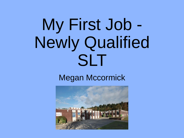# My First Job - Newly Qualified SLT

#### Megan Mccormick

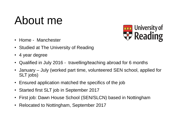#### About me



- Home Manchester
- Studied at The University of Reading
- 4 year degree
- Qualified in July 2016 travelling/teaching abroad for 6 months
- January July (worked part time, volunteered SEN school, applied for SLT jobs)
- Ensured application matched the specifics of the job
- Started first SLT job in September 2017
- First job: Dawn House School (SEN/SLCN) based in Nottingham
- Relocated to Nottingham, September 2017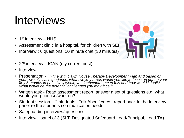#### Interviews

- 1<sup>st</sup> interview NHS
- Assessment clinic in a hospital, for children with SEI
- Interview : 6 questions, 10 minute chat (30 minutes)



- $2<sup>nd</sup>$  interview ICAN (my current post)
- Interview:
- Presentation '*In line with Dawn House Therapy Development Plan and based on your own clinical experience, what two key areas would you like to focus on during your first 6 months in post. How would you lead/contribute to this and how would it look? What would be the potential challenges you may face?'*
- Written task Read assessment report, answer a set of questions e.g: what would you prioritise/work on?
- Student session 2 students, 'Talk About' cards, report back to the interview panel re the students communication needs
- Safeguarding interview/ questions
- Interview panel of 3 (SLT, Designated Safeguard Lead/Principal, Lead TA)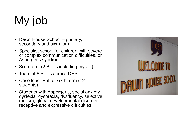## My job

- Dawn House School primary, secondary and sixth form
- Specialist school for children with severe or complex communication difficulties, or Asperger's syndrome.
- Sixth form (2 SLT's including myself)
- Team of 6 SLT's across DHS
- Case load: Half of sixth form (12 students)
- Students with Asperger's, social anxiety, dyslexia, dyspraxia, dysfluency, selective mutism, global developmental disorder, receptive and expressive difficulties

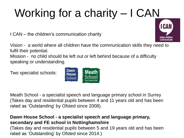### Working for a charity – I CAN

I CAN – the children's communication charity

Vision - a world where all children have the communication skills they need to fulfil their potential.

Mission - no child should be left out or left behind because of a difficulty speaking or understanding.

Two specialist schools:

Meath School - a specialist speech and language primary school in Surrey (Takes day and residential pupils between 4 and 11 years old and has been rated as 'Outstanding' by Ofsted since 2008).

#### **Dawn House School - a specialist speech and language primary, secondary and FE school in Nottinghamshire**

(Takes day and residential pupils between 5 and 19 years old and has been rated as 'Outstanding' by Ofsted since 2014.)



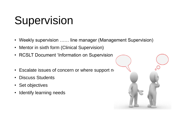#### Supervision

- Weekly supervision …… line manager (Management Supervision)
- Mentor in sixth form (Clinical Supervision)
- RCSLT Document 'Information on Supervision
- Escalate issues of concern or where support ne
- Discuss Students
- Set objectives
- Identify learning needs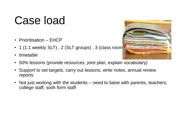#### Case load

- Prioritisation EHCP
- 1 (1:1 weekly SLT), 2 (SLT groups), 3 (class room
- timetable



- 50% lessons (provide resources, joint plan, explain vocabulary)
- Support to set targets, carry out lessons, write notes, annual review reports
- Not just working with the students need to liaise with parents, teachers, college staff, sixth form staff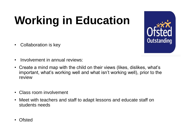### **Working in Education**

• Collaboration is key



- Involvement in annual reviews:
- Create a mind map with the child on their views (likes, dislikes, what's important, what's working well and what isn't working well), prior to the review
- Class room involvement
- Meet with teachers and staff to adapt lessons and educate staff on students needs
- Ofsted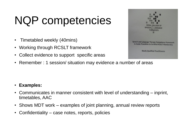#### NQP competencies

- Timetabled weekly (40mins)
- Working through RCSLT framework
- Collect evidence to support specific areas
- Remember : 1 session/ situation may evidence a number of areas



- Communicates in manner consistent with level of understanding inprint, timetables, AAC
- Shows MDT work examples of joint planning, annual review reports
- Confidentiality case notes, reports, policies

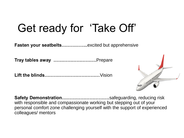#### Get ready for 'Take Off'

**Fasten your seatbelts……………..**excited but apprehensive

**Tray tables away ……………………….**Prepare

**Lift the blinds………………………………**Vision



**Safety Demonstration………………………….**safeguarding, reducing risk with responsible and compassionate working but stepping out of your personal comfort zone challenging yourself with the support of experienced colleagues/ mentors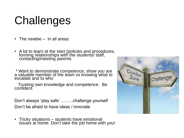#### **Challenges**

- The newbie in all areas
- A lot to learn at the start (policies and procedures, forming relationships with the students/ staff, contacting/meeting parents

\* Want to demonstrate competence, show you are a valuable member of the team vs knowing what to escalate and to who

 Trusting own knowledge and competence. Be confident.

Don't always 'play safe'………challenge yourself Don't be afraid to have ideas / innovate

• Tricky situations – students have emotional issues at home. Don't take the job home with you!